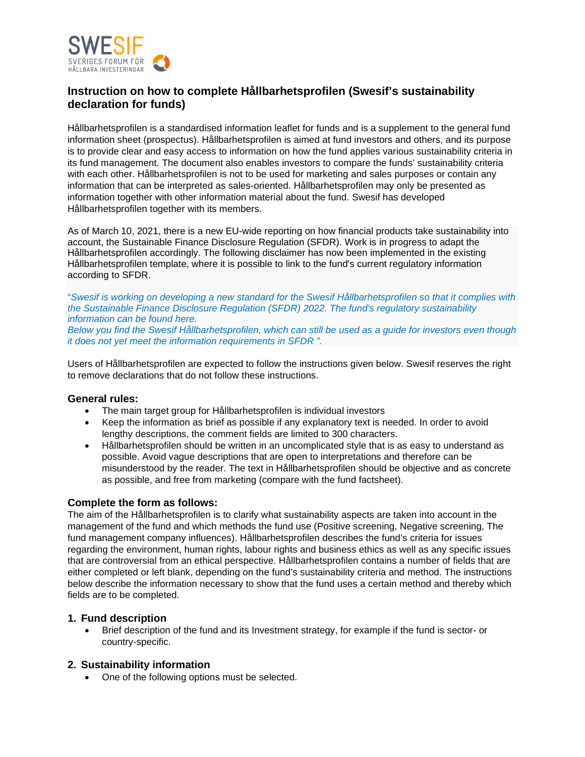

# **Instruction on how to complete Hållbarhetsprofilen (Swesif's sustainability declaration for funds)**

Hållbarhetsprofilen is a standardised information leaflet for funds and is a supplement to the general fund information sheet (prospectus). Hållbarhetsprofilen is aimed at fund investors and others, and its purpose is to provide clear and easy access to information on how the fund applies various sustainability criteria in its fund management. The document also enables investors to compare the funds' sustainability criteria with each other. Hållbarhetsprofilen is not to be used for marketing and sales purposes or contain any information that can be interpreted as sales-oriented. Hållbarhetsprofilen may only be presented as information together with other information material about the fund. Swesif has developed Hållbarhetsprofilen together with its members.

As of March 10, 2021, there is a new EU-wide reporting on how financial products take sustainability into account, the Sustainable Finance Disclosure Regulation (SFDR). Work is in progress to adapt the Hållbarhetsprofilen accordingly. The following disclaimer has now been implemented in the existing Hållbarhetsprofilen template, where it is possible to link to the fund's current regulatory information according to SFDR.

"*Swesif is working on developing a new standard for the Swesif Hållbarhetsprofilen so that it complies with the Sustainable Finance Disclosure Regulation (SFDR) 2022. The fund's regulatory sustainability information can be found here.*

*Below you find the Swesif Hållbarhetsprofilen, which can still be used as a guide for investors even though it does not yet meet the information requirements in SFDR ".*

Users of Hållbarhetsprofilen are expected to follow the instructions given below. Swesif reserves the right to remove declarations that do not follow these instructions.

### **General rules:**

- The main target group for Hållbarhetsprofilen is individual investors
- Keep the information as brief as possible if any explanatory text is needed. In order to avoid lengthy descriptions, the comment fields are limited to 300 characters.
- Hållbarhetsprofilen should be written in an uncomplicated style that is as easy to understand as possible. Avoid vague descriptions that are open to interpretations and therefore can be misunderstood by the reader. The text in Hållbarhetsprofilen should be objective and as concrete as possible, and free from marketing (compare with the fund factsheet).

### **Complete the form as follows:**

The aim of the Hållbarhetsprofilen is to clarify what sustainability aspects are taken into account in the management of the fund and which methods the fund use (Positive screening, Negative screening, The fund management company influences). Hållbarhetsprofilen describes the fund's criteria for issues regarding the environment, human rights, labour rights and business ethics as well as any specific issues that are controversial from an ethical perspective. Hållbarhetsprofilen contains a number of fields that are either completed or left blank, depending on the fund's sustainability criteria and method. The instructions below describe the information necessary to show that the fund uses a certain method and thereby which fields are to be completed.

### **1. Fund description**

• Brief description of the fund and its Investment strategy, for example if the fund is sector- or country-specific.

# **2. Sustainability information**

• One of the following options must be selected.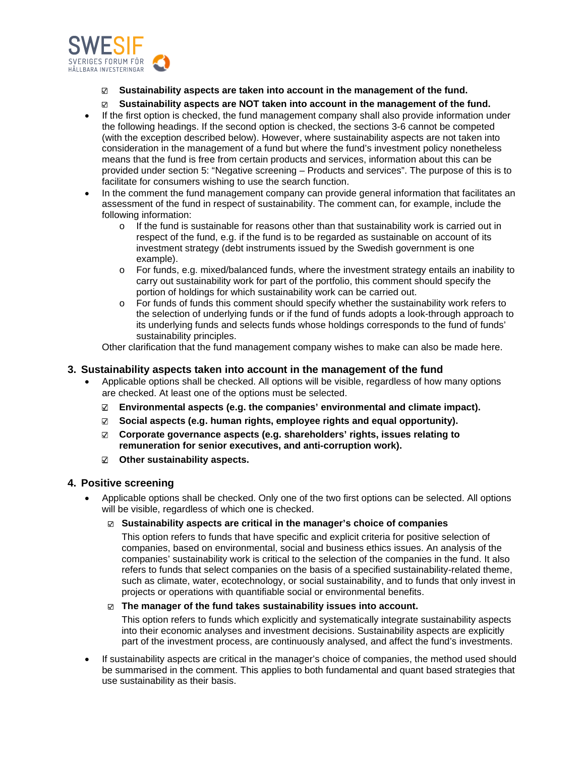

#### **Sustainability aspects are taken into account in the management of the fund.**  $\sim$

#### $\sqrt{ }$ **Sustainability aspects are NOT taken into account in the management of the fund.**

- If the first option is checked, the fund management company shall also provide information under the following headings. If the second option is checked, the sections 3-6 cannot be competed (with the exception described below). However, where sustainability aspects are not taken into consideration in the management of a fund but where the fund's investment policy nonetheless means that the fund is free from certain products and services, information about this can be provided under section 5: "Negative screening – Products and services". The purpose of this is to facilitate for consumers wishing to use the search function.
- In the comment the fund management company can provide general information that facilitates an assessment of the fund in respect of sustainability. The comment can, for example, include the following information:
	- $\circ$  If the fund is sustainable for reasons other than that sustainability work is carried out in respect of the fund, e.g. if the fund is to be regarded as sustainable on account of its investment strategy (debt instruments issued by the Swedish government is one example).
	- o For funds, e.g. mixed/balanced funds, where the investment strategy entails an inability to carry out sustainability work for part of the portfolio, this comment should specify the portion of holdings for which sustainability work can be carried out.
	- o For funds of funds this comment should specify whether the sustainability work refers to the selection of underlying funds or if the fund of funds adopts a look-through approach to its underlying funds and selects funds whose holdings corresponds to the fund of funds' sustainability principles.

Other clarification that the fund management company wishes to make can also be made here.

## **3. Sustainability aspects taken into account in the management of the fund**

- Applicable options shall be checked. All options will be visible, regardless of how many options are checked. At least one of the options must be selected.
	- **Environmental aspects (e.g. the companies' environmental and climate impact).**
	- $\sum$ **Social aspects (e.g. human rights, employee rights and equal opportunity).**
	- **Corporate governance aspects (e.g. shareholders' rights, issues relating to remuneration for senior executives, and anti-corruption work).**
	- **Other sustainability aspects.**

# **4. Positive screening**

• Applicable options shall be checked. Only one of the two first options can be selected. All options will be visible, regardless of which one is checked.

## **Sustainability aspects are critical in the manager's choice of companies**

This option refers to funds that have specific and explicit criteria for positive selection of companies, based on environmental, social and business ethics issues. An analysis of the companies' sustainability work is critical to the selection of the companies in the fund. It also refers to funds that select companies on the basis of a specified sustainability-related theme, such as climate, water, ecotechnology, or social sustainability, and to funds that only invest in projects or operations with quantifiable social or environmental benefits.

### **The manager of the fund takes sustainability issues into account.**

This option refers to funds which explicitly and systematically integrate sustainability aspects into their economic analyses and investment decisions. Sustainability aspects are explicitly part of the investment process, are continuously analysed, and affect the fund's investments.

• If sustainability aspects are critical in the manager's choice of companies, the method used should be summarised in the comment. This applies to both fundamental and quant based strategies that use sustainability as their basis.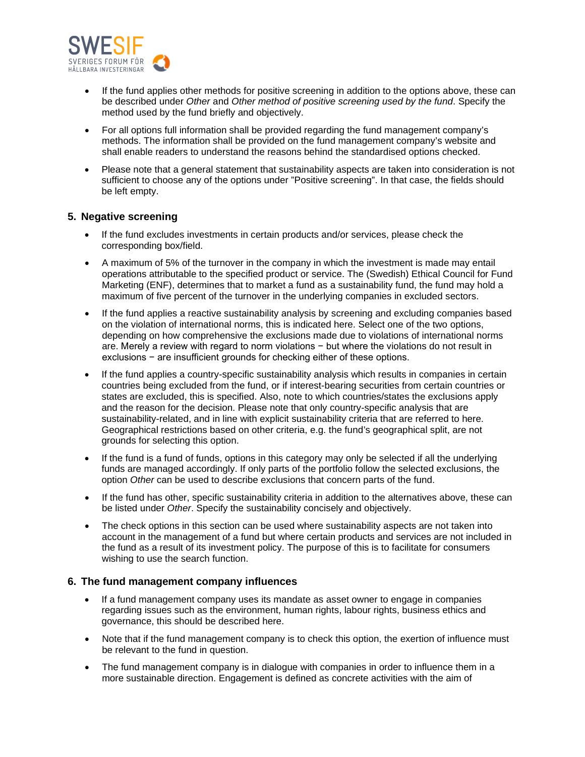

- If the fund applies other methods for positive screening in addition to the options above, these can be described under *Other* and *Other method of positive screening used by the fund*. Specify the method used by the fund briefly and objectively.
- For all options full information shall be provided regarding the fund management company's methods. The information shall be provided on the fund management company's website and shall enable readers to understand the reasons behind the standardised options checked.
- Please note that a general statement that sustainability aspects are taken into consideration is not sufficient to choose any of the options under "Positive screening". In that case, the fields should be left empty.

# **5. Negative screening**

- If the fund excludes investments in certain products and/or services, please check the corresponding box/field.
- A maximum of 5% of the turnover in the company in which the investment is made may entail operations attributable to the specified product or service. The (Swedish) Ethical Council for Fund Marketing (ENF), determines that to market a fund as a sustainability fund, the fund may hold a maximum of five percent of the turnover in the underlying companies in excluded sectors.
- If the fund applies a reactive sustainability analysis by screening and excluding companies based on the violation of international norms, this is indicated here. Select one of the two options, depending on how comprehensive the exclusions made due to violations of international norms are. Merely a review with regard to norm violations − but where the violations do not result in exclusions − are insufficient grounds for checking either of these options.
- If the fund applies a country-specific sustainability analysis which results in companies in certain countries being excluded from the fund, or if interest-bearing securities from certain countries or states are excluded, this is specified. Also, note to which countries/states the exclusions apply and the reason for the decision. Please note that only country-specific analysis that are sustainability-related, and in line with explicit sustainability criteria that are referred to here. Geographical restrictions based on other criteria, e.g. the fund's geographical split, are not grounds for selecting this option.
- If the fund is a fund of funds, options in this category may only be selected if all the underlying funds are managed accordingly. If only parts of the portfolio follow the selected exclusions, the option *Other* can be used to describe exclusions that concern parts of the fund.
- If the fund has other, specific sustainability criteria in addition to the alternatives above, these can be listed under *Other*. Specify the sustainability concisely and objectively.
- The check options in this section can be used where sustainability aspects are not taken into account in the management of a fund but where certain products and services are not included in the fund as a result of its investment policy. The purpose of this is to facilitate for consumers wishing to use the search function.

### **6. The fund management company influences**

- If a fund management company uses its mandate as asset owner to engage in companies regarding issues such as the environment, human rights, labour rights, business ethics and governance, this should be described here.
- Note that if the fund management company is to check this option, the exertion of influence must be relevant to the fund in question.
- The fund management company is in dialogue with companies in order to influence them in a more sustainable direction. Engagement is defined as concrete activities with the aim of